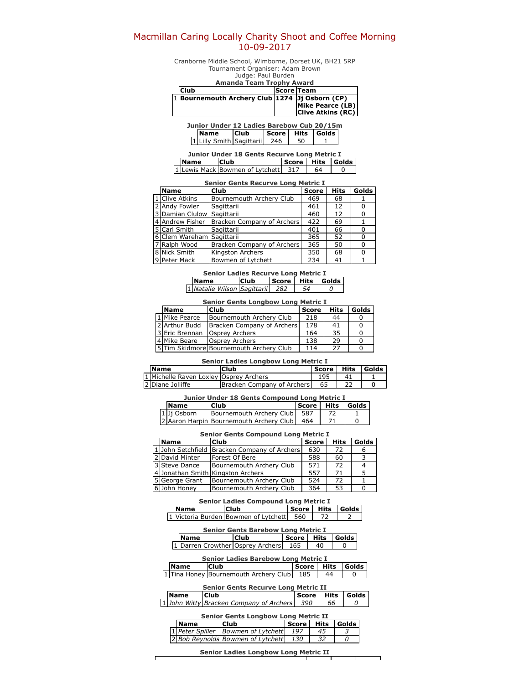# Macmillan Caring Locally Charity Shoot and Coffee Morning 10-09-2017

Cranborne Middle School, Wimborne, Dorset UK, BH21 5RP Tournament Organiser: Adam Brown Judge: Paul Burden

|  | Amanda Team Trophy Award                       |                   |                          |  |  |  |  |  |
|--|------------------------------------------------|-------------------|--------------------------|--|--|--|--|--|
|  | <b>Club</b>                                    | <b>Score Team</b> |                          |  |  |  |  |  |
|  | 1 Bournemouth Archery Club 1274 Jj Osborn (CP) |                   |                          |  |  |  |  |  |
|  |                                                |                   | Mike Pearce (LB)         |  |  |  |  |  |
|  |                                                |                   | <b>Clive Atkins (RC)</b> |  |  |  |  |  |

Junior Under 12 Ladies Barebow Cub 20/15m **Name Club Score Hits Golds**<br>Lilly Smith Sagittarii 246 50 1 1 Lilly Smith Sagittarii 246

| <b>Junior Under 18 Gents Recurve Long Metric I</b> |                                     |                  |    |  |  |  |
|----------------------------------------------------|-------------------------------------|------------------|----|--|--|--|
| <b>Name</b>                                        | <b>Club</b>                         | Score Hits Golds |    |  |  |  |
|                                                    | 1 Lewis Mack Bowmen of Lytchett 317 |                  | 64 |  |  |  |

|                         | <b>Senior Gents Recurve Long Metric I</b> |                            |              |             |       |  |  |
|-------------------------|-------------------------------------------|----------------------------|--------------|-------------|-------|--|--|
|                         | <b>Name</b>                               | Club                       | <b>Score</b> | <b>Hits</b> | Golds |  |  |
|                         | 1 Clive Atkins                            | Bournemouth Archery Club   | 469          | 68          |       |  |  |
|                         | 2 Andy Fowler                             | Sagittarii                 | 461          | 12          |       |  |  |
| $\overline{\mathbf{3}}$ | Damian Clulow Sagittarii                  |                            | 460          | 12          |       |  |  |
|                         | 4 Andrew Fisher                           | Bracken Company of Archers | 422          | 69          |       |  |  |
| 5                       | Carl Smith                                | Sagittarii                 | 401          | 66          |       |  |  |
|                         | Clem Wareham Sagittarii                   |                            | 365          | 52          | n     |  |  |
| 7                       | Ralph Wood                                | Bracken Company of Archers | 365          | 50          | O     |  |  |
|                         | 8 Nick Smith                              | Kingston Archers           | 350          | 68          |       |  |  |
|                         | 9 Peter Mack                              | Bowmen of Lytchett         | 234          | 41          |       |  |  |

### Senior Ladies Recurve Long Metric I Name Club Score Hits Golds 1 Natalie Wilson Sagittarii 282 | 54 | 0

| <b>Senior Gents Longbow Long Metric I</b> |                                        |              |             |       |  |
|-------------------------------------------|----------------------------------------|--------------|-------------|-------|--|
| <b>Name</b>                               | Club                                   | <b>Score</b> | <b>Hits</b> | Golds |  |
| 11 Mike Pearce                            | Bournemouth Archery Club               | 218          | 44          |       |  |
| 2 Arthur Budd                             | Bracken Company of Archers             | 178          | 41          |       |  |
| 3 Eric Brennan                            | Osprey Archers                         | 164          | 35          |       |  |
| 4 Mike Beare                              | Osprey Archers                         | 138          | 29          |       |  |
|                                           | 5Tim Skidmore Bournemouth Archery Club | 114          | 27          |       |  |

### Senior Ladies Longbow Long Metric I

| <b>Name</b>                             | Club                         | l Score l | <b>Hits</b> | Golds |
|-----------------------------------------|------------------------------|-----------|-------------|-------|
| 11 Michelle Raven Loxley Osprey Archers |                              | 195       |             |       |
| 2 Diane Jolliffe                        | Bracken Company of Archers I | 65        |             |       |

### Junior Under 18 Gents Compound Long Metric I

| <b>Name</b> | <b>Club</b>                             | <b>Score</b> | Hits   Golds |  |
|-------------|-----------------------------------------|--------------|--------------|--|
| 1 Ji Osborn | Bournemouth Archery Club L              | 587          |              |  |
|             | 2 Aaron Harpin Bournemouth Archery Club | 464          |              |  |

### Senior Gents Compound Long Metric I

| <b>Name</b>       | Club                              | <b>Score</b> | <b>Hits</b> | Golds |
|-------------------|-----------------------------------|--------------|-------------|-------|
| 1 John Setchfield | Bracken Company of Archers        | 630          | 72          | ь     |
| 2 David Minter    | Forest Of Bere                    | 588          | 60          |       |
| 3 Steve Dance     | Bournemouth Archery Club          | 571          | 72          |       |
|                   | 4 Jonathan Smith Kingston Archers | 557          | 71          |       |
| 5 George Grant    | Bournemouth Archery Club          | 524          | 72          |       |
| 6 John Honey      | Bournemouth Archery Club          | 364          | 53          |       |

### Senior Ladies Compound Long Metric I Name Club Score Hits Golds

| nvame | ILIUD                                    | ISCOTE FILS I GOIUS |  |
|-------|------------------------------------------|---------------------|--|
|       | 1 Victoria Burden Bowmen of Lytchett 560 |                     |  |
|       |                                          |                     |  |

|                                                  | <b>Senior Gents Barebow Long Metric I</b> |                  |    |  |  |  |
|--------------------------------------------------|-------------------------------------------|------------------|----|--|--|--|
| <b>Name</b>                                      | <b>Club</b>                               | Score Hits Golds |    |  |  |  |
| 165   1   Darren Crowther   Osprey Archers   165 |                                           |                  | 40 |  |  |  |

| <b>Senior Ladies Barebow Long Metric I</b> |                                           |  |    |                      |
|--------------------------------------------|-------------------------------------------|--|----|----------------------|
| <b>Name</b>                                | <b>Club</b>                               |  |    | Score   Hits   Golds |
|                                            | 1 Tina Honey Bournemouth Archery Club 185 |  | 44 |                      |

| <b>Senior Gents Recurve Long Metric II</b> |             |                                             |                  |    |  |
|--------------------------------------------|-------------|---------------------------------------------|------------------|----|--|
|                                            | <b>Name</b> | <b>Club</b>                                 | Score Hits Golds |    |  |
|                                            |             | 1 John Witty Bracken Company of Archers 390 |                  | 66 |  |

## Senior Gents Longbow Long Metric II

| <b>Name</b> | <b>Club</b>                          | Score Hits |    | <b>Golds</b> |
|-------------|--------------------------------------|------------|----|--------------|
|             | 1 Peter Spiller   Bowmen of Lytchett | 197        | 45 |              |
|             | 2 Bob Reynolds Bowmen of Lytchett    | 130        |    |              |

Senior Ladies Longbow Long Metric II